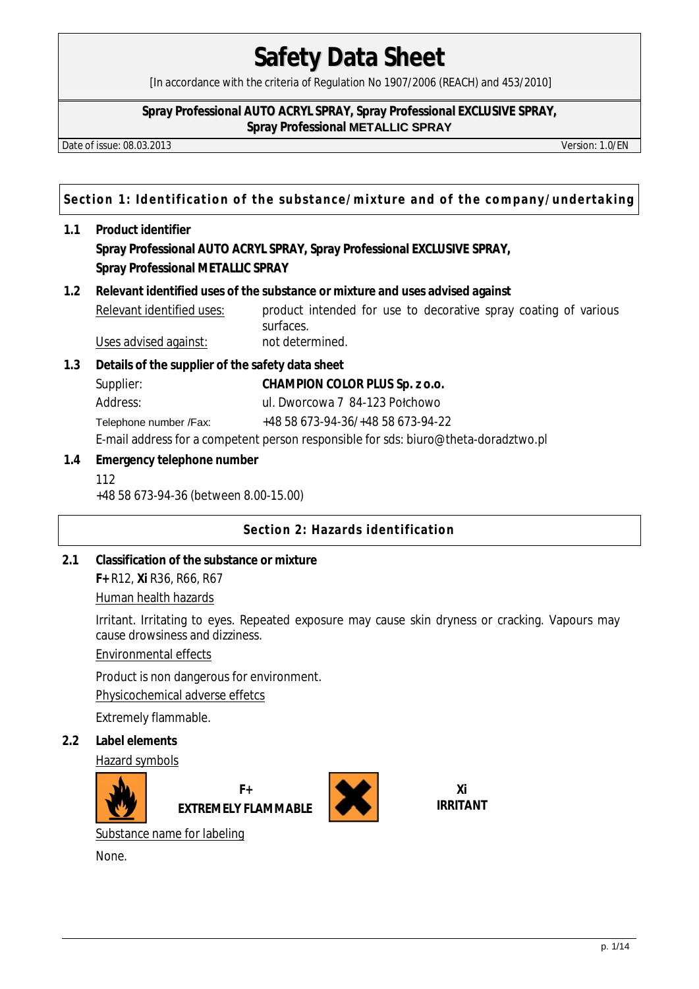[In accordance with the criteria of Regulation No 1907/2006 (REACH) and 453/2010]

#### **Spray Professional AUTO ACRYL SPRAY, Spray Professional EXCLUSIVE SPRAY, Spray Professional METALLIC SPRAY**

Date of issue: 08.03.2013 Version: 1.0/EN

**Section 1: Identification of the substance/mixture and of the company/undertaking**

- **1.1 Product identifier Spray Professional AUTO ACRYL SPRAY, Spray Professional EXCLUSIVE SPRAY, Spray Professional METALLIC SPRAY**
- **1.2 Relevant identified uses of the substance or mixture and uses advised against**  Relevant identified uses: product intended for use to decorative spray coating of various surfaces.

Uses advised against: not determined.

**1.3 Details of the supplier of the safety data sheet** 

Supplier: **CHAMPION COLOR PLUS Sp. z o.o.** Address: ul. Dworcowa 7 84-123 Połchowo Telephone number /Fax: +48 58 673-94-36/+48 58 673-94-22

E-mail address for a competent person responsible for sds: biuro@theta-doradztwo.pl

**1.4 Emergency telephone number**

112

+48 58 673-94-36 (between 8.00-15.00)

# **Section 2: Hazards identification**

**2.1 Classification of the substance or mixture F+** R12, **Xi** R36, R66, R67

Human health hazards

Irritant. Irritating to eyes. Repeated exposure may cause skin dryness or cracking. Vapours may cause drowsiness and dizziness.

Environmental effects

Product is non dangerous for environment.

Physicochemical adverse effetcs

Extremely flammable.

**2.2 Label elements** 

Hazard symbols



**F+ EXTREMELY FLAMMABLE**



**Xi IRRITANT** 

Substance name for labeling

None.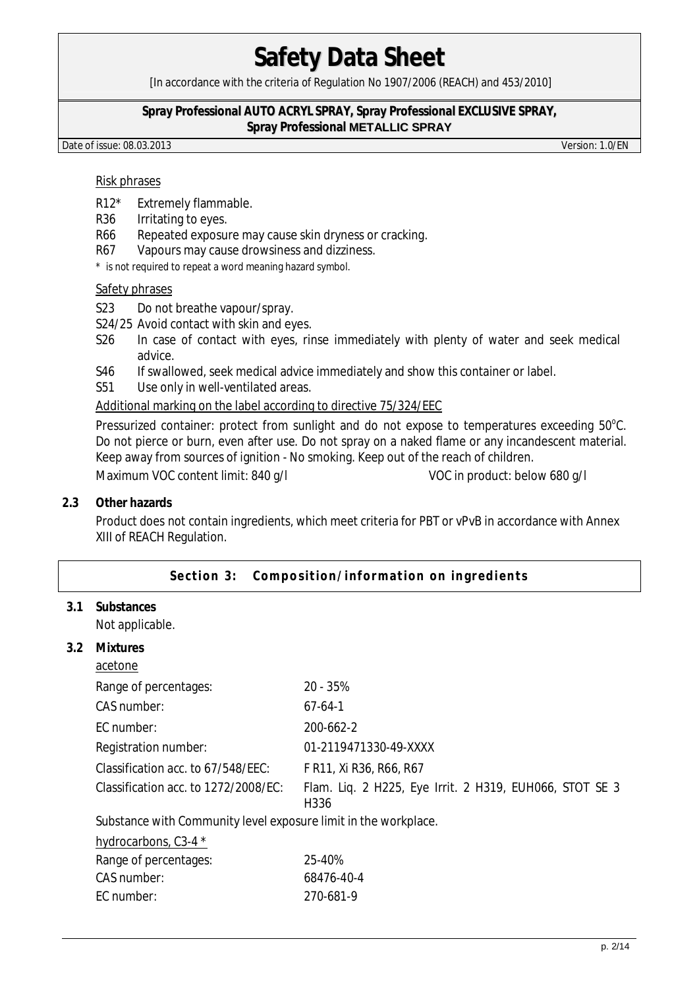[In accordance with the criteria of Regulation No 1907/2006 (REACH) and 453/2010]

#### **Spray Professional AUTO ACRYL SPRAY, Spray Professional EXCLUSIVE SPRAY, Spray Professional METALLIC SPRAY**

Date of issue: 08.03.2013 Version: 1.0/EN

### Risk phrases

- R12\* Extremely flammable.
- R36 Irritating to eyes.
- R66 Repeated exposure may cause skin dryness or cracking.
- R67 Vapours may cause drowsiness and dizziness.
- \* is not required to repeat a word meaning hazard symbol.

### Safety phrases

- S23 Do not breathe vapour/spray.
- S24/25 Avoid contact with skin and eyes.
- S26 In case of contact with eyes, rinse immediately with plenty of water and seek medical advice.
- S46 If swallowed, seek medical advice immediately and show this container or label.
- S51 Use only in well-ventilated areas.

## Additional marking on the label according to directive 75/324/EEC

Pressurized container: protect from sunlight and do not expose to temperatures exceeding  $50^{\circ}$ C. Do not pierce or burn, even after use. Do not spray on a naked flame or any incandescent material. Keep away from sources of ignition - No smoking. Keep out of the reach of children.

Maximum VOC content limit: 840 g/l VOC in product: below 680 g/l

#### **2.3 Other hazards**

Product does not contain ingredients, which meet criteria for PBT or vPvB in accordance with Annex XIII of REACH Regulation.

### Section 3: Composition/information on ingredients

**3.1 Substances**  Not applicable.

**3.2 Mixtures** 

| acetone                                                         |                                                                             |
|-----------------------------------------------------------------|-----------------------------------------------------------------------------|
| Range of percentages:                                           | 20 - 35%                                                                    |
| CAS number:                                                     | $67-64-1$                                                                   |
| EC number:                                                      | 200-662-2                                                                   |
| Registration number:                                            | 01-2119471330-49-XXXX                                                       |
| Classification acc. to 67/548/EEC:                              | F R11, Xi R36, R66, R67                                                     |
| Classification acc. to 1272/2008/EC:                            | Flam. Liq. 2 H225, Eye Irrit. 2 H319, EUH066, STOT SE 3<br>H <sub>336</sub> |
| Substance with Community level exposure limit in the workplace. |                                                                             |
| hydrocarbons, C3-4 *                                            |                                                                             |
| Range of percentages:                                           | 25-40%                                                                      |
| CAS number:                                                     | 68476-40-4                                                                  |
| EC number:                                                      | 270-681-9                                                                   |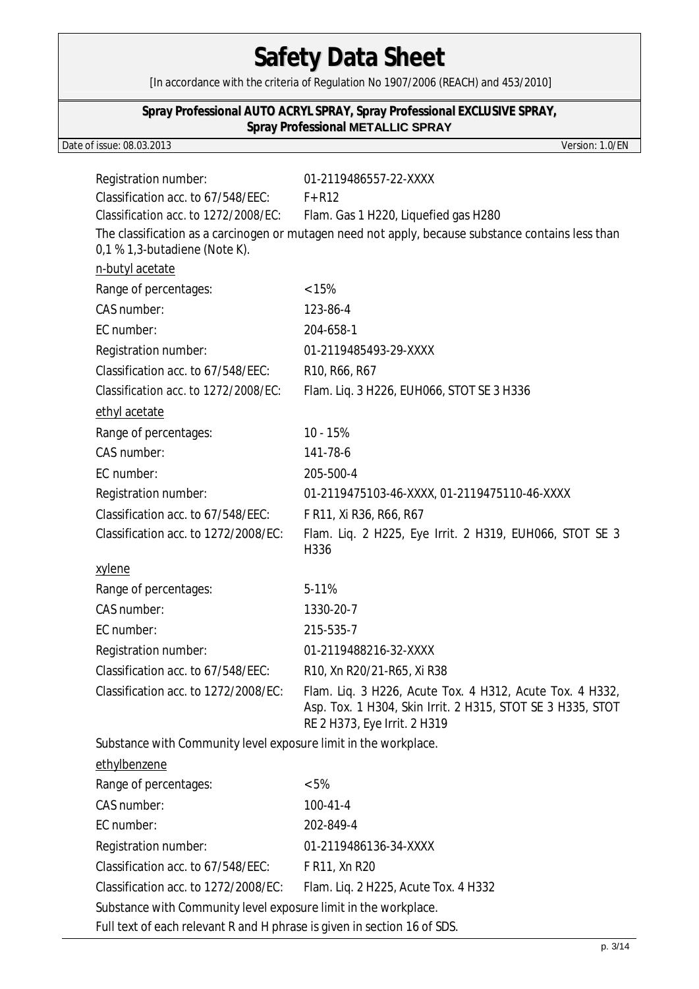[In accordance with the criteria of Regulation No 1907/2006 (REACH) and 453/2010]

### **Spray Professional AUTO ACRYL SPRAY, Spray Professional EXCLUSIVE SPRAY, Spray Professional METALLIC SPRAY**

### Date of issue: 08.03.2013 Version: 1.0/EN

| Registration number:                                                     | 01-2119486557-22-XXXX                                                                                                                                  |  |  |
|--------------------------------------------------------------------------|--------------------------------------------------------------------------------------------------------------------------------------------------------|--|--|
| Classification acc. to 67/548/EEC:                                       | $F+R12$                                                                                                                                                |  |  |
| Classification acc. to 1272/2008/EC:                                     | Flam. Gas 1 H220, Liquefied gas H280                                                                                                                   |  |  |
| 0,1 % 1,3-butadiene (Note K).                                            | The classification as a carcinogen or mutagen need not apply, because substance contains less than                                                     |  |  |
| n-butyl acetate                                                          |                                                                                                                                                        |  |  |
| Range of percentages:                                                    | < 15%                                                                                                                                                  |  |  |
| CAS number:                                                              | 123-86-4                                                                                                                                               |  |  |
| EC number:                                                               | 204-658-1                                                                                                                                              |  |  |
| Registration number:                                                     | 01-2119485493-29-XXXX                                                                                                                                  |  |  |
| Classification acc. to 67/548/EEC:                                       | R10, R66, R67                                                                                                                                          |  |  |
| Classification acc. to 1272/2008/EC:                                     | Flam. Liq. 3 H226, EUH066, STOT SE 3 H336                                                                                                              |  |  |
| ethyl acetate                                                            |                                                                                                                                                        |  |  |
| Range of percentages:                                                    | 10 - 15%                                                                                                                                               |  |  |
| CAS number:                                                              | 141-78-6                                                                                                                                               |  |  |
| EC number:                                                               | 205-500-4                                                                                                                                              |  |  |
| Registration number:                                                     | 01-2119475103-46-XXXX, 01-2119475110-46-XXXX                                                                                                           |  |  |
| Classification acc. to 67/548/EEC:                                       | F R11, Xi R36, R66, R67                                                                                                                                |  |  |
| Classification acc. to 1272/2008/EC:                                     | Flam. Liq. 2 H225, Eye Irrit. 2 H319, EUH066, STOT SE 3<br>H336                                                                                        |  |  |
| xylene                                                                   |                                                                                                                                                        |  |  |
| Range of percentages:                                                    | 5-11%                                                                                                                                                  |  |  |
| CAS number:                                                              | 1330-20-7                                                                                                                                              |  |  |
| EC number:                                                               | 215-535-7                                                                                                                                              |  |  |
| Registration number:                                                     | 01-2119488216-32-XXXX                                                                                                                                  |  |  |
| Classification acc. to 67/548/EEC:                                       | R10, Xn R20/21-R65, Xi R38                                                                                                                             |  |  |
| Classification acc. to 1272/2008/EC:                                     | Flam. Liq. 3 H226, Acute Tox. 4 H312, Acute Tox. 4 H332,<br>Asp. Tox. 1 H304, Skin Irrit. 2 H315, STOT SE 3 H335, STOT<br>RE 2 H373, Eye Irrit. 2 H319 |  |  |
| Substance with Community level exposure limit in the workplace.          |                                                                                                                                                        |  |  |
| ethylbenzene                                                             |                                                                                                                                                        |  |  |
| Range of percentages:                                                    | $< 5\%$                                                                                                                                                |  |  |
| CAS number:                                                              | $100 - 41 - 4$                                                                                                                                         |  |  |
| EC number:                                                               | 202-849-4                                                                                                                                              |  |  |
| Registration number:                                                     | 01-2119486136-34-XXXX                                                                                                                                  |  |  |
| Classification acc. to 67/548/EEC:                                       | F R11, Xn R20                                                                                                                                          |  |  |
| Classification acc. to 1272/2008/EC:                                     | Flam. Liq. 2 H225, Acute Tox. 4 H332                                                                                                                   |  |  |
| Substance with Community level exposure limit in the workplace.          |                                                                                                                                                        |  |  |
| Full text of each relevant R and H phrase is given in section 16 of SDS. |                                                                                                                                                        |  |  |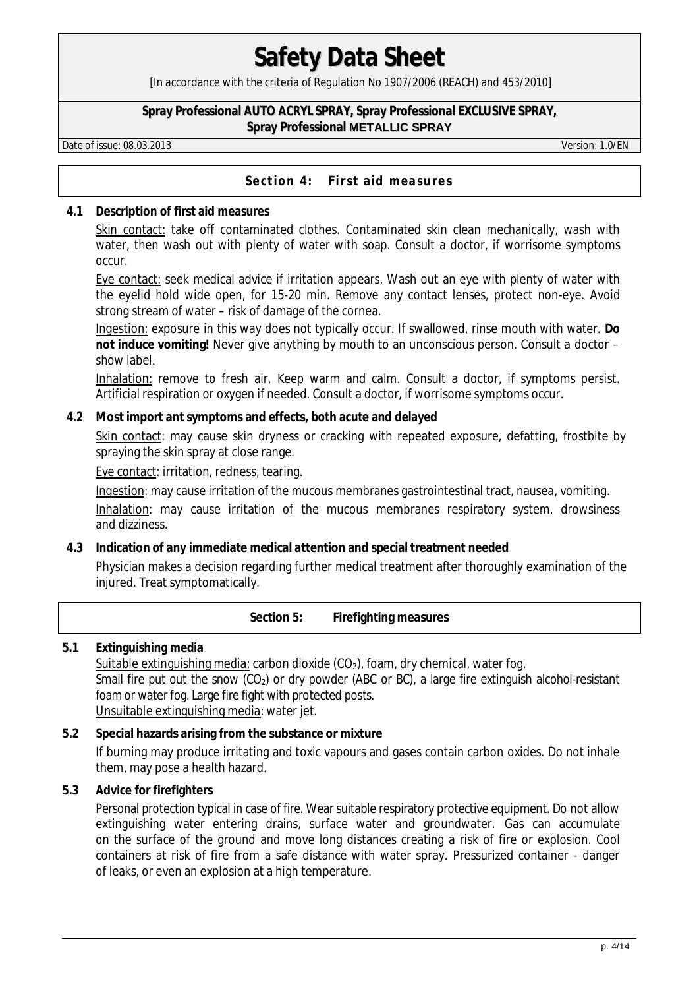[In accordance with the criteria of Regulation No 1907/2006 (REACH) and 453/2010]

#### **Spray Professional AUTO ACRYL SPRAY, Spray Professional EXCLUSIVE SPRAY, Spray Professional METALLIC SPRAY**

Date of issue: 08.03.2013 Version: 1.0/EN

### Section 4: First aid measures

**4.1 Description of first aid measures** 

Skin contact: take off contaminated clothes. Contaminated skin clean mechanically, wash with water, then wash out with plenty of water with soap. Consult a doctor, if worrisome symptoms occur.

Eye contact: seek medical advice if irritation appears. Wash out an eye with plenty of water with the eyelid hold wide open, for 15-20 min. Remove any contact lenses, protect non-eye. Avoid strong stream of water – risk of damage of the cornea.

Ingestion: exposure in this way does not typically occur. If swallowed, rinse mouth with water. **Do not induce vomiting!** Never give anything by mouth to an unconscious person. Consult a doctor – show label.

Inhalation: remove to fresh air. Keep warm and calm. Consult a doctor, if symptoms persist. Artificial respiration or oxygen if needed. Consult a doctor, if worrisome symptoms occur.

**4.2 Most import ant symptoms and effects, both acute and delayed** 

Skin contact: may cause skin dryness or cracking with repeated exposure, defatting, frostbite by spraying the skin spray at close range.

Eye contact: irritation, redness, tearing.

Ingestion: may cause irritation of the mucous membranes gastrointestinal tract, nausea, vomiting. Inhalation: may cause irritation of the mucous membranes respiratory system, drowsiness and dizziness.

- **4.3 Indication of any immediate medical attention and special treatment needed** Physician makes a decision regarding further medical treatment after thoroughly examination of the injured. Treat symptomatically.
	- **Section 5: Firefighting measures**
- **5.1 Extinguishing media**

Suitable extinguishing media: carbon dioxide  $(CO<sub>2</sub>)$ , foam, dry chemical, water fog. Small fire put out the snow (CO<sub>2</sub>) or dry powder (ABC or BC), a large fire extinguish alcohol-resistant foam or water fog. Large fire fight with protected posts. Unsuitable extinguishing media: water jet.

- **5.2 Special hazards arising from the substance or mixture**  If burning may produce irritating and toxic vapours and gases contain carbon oxides. Do not inhale them, may pose a health hazard.
- **5.3 Advice for firefighters**

Personal protection typical in case of fire. Wear suitable respiratory protective equipment. Do not allow extinguishing water entering drains, surface water and groundwater. Gas can accumulate on the surface of the ground and move long distances creating a risk of fire or explosion. Cool containers at risk of fire from a safe distance with water spray. Pressurized container - danger of leaks, or even an explosion at a high temperature.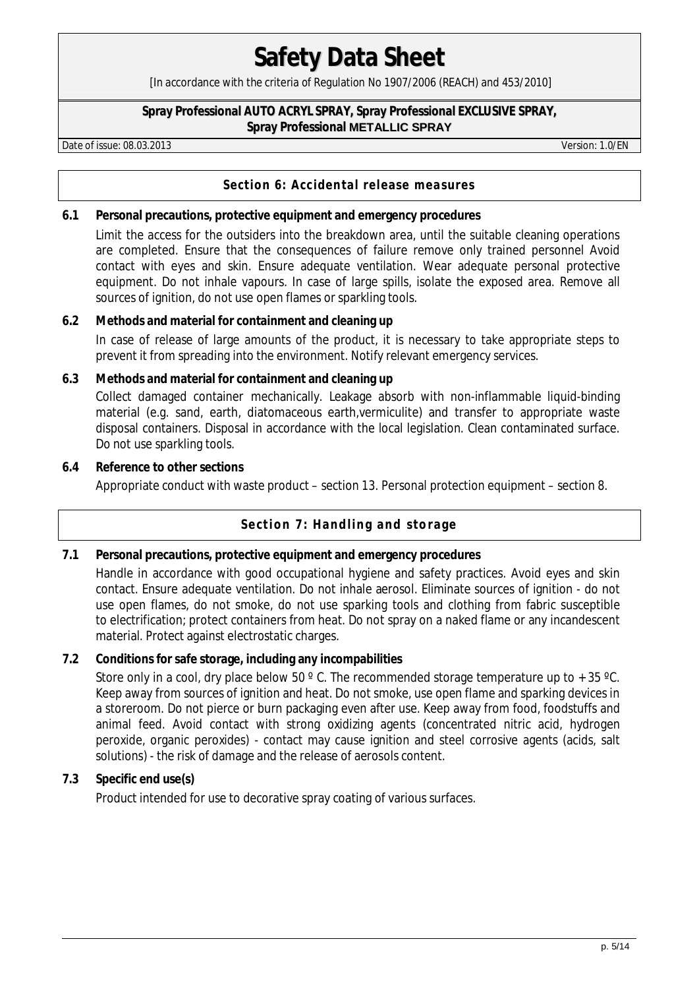[In accordance with the criteria of Regulation No 1907/2006 (REACH) and 453/2010]

#### **Spray Professional AUTO ACRYL SPRAY, Spray Professional EXCLUSIVE SPRAY, Spray Professional METALLIC SPRAY**

Date of issue: 08.03.2013 Version: 1.0/EN

# **Section 6: Accidental release measures**

**6.1 Personal precautions, protective equipment and emergency procedures** 

Limit the access for the outsiders into the breakdown area, until the suitable cleaning operations are completed. Ensure that the consequences of failure remove only trained personnel Avoid contact with eyes and skin. Ensure adequate ventilation. Wear adequate personal protective equipment. Do not inhale vapours. In case of large spills, isolate the exposed area. Remove all sources of ignition, do not use open flames or sparkling tools.

### **6.2 Methods and material for containment and cleaning up**

In case of release of large amounts of the product, it is necessary to take appropriate steps to prevent it from spreading into the environment. Notify relevant emergency services.

- **6.3 Methods and material for containment and cleaning up** Collect damaged container mechanically. Leakage absorb with non-inflammable liquid-binding material (e.g. sand, earth, diatomaceous earth,vermiculite) and transfer to appropriate waste disposal containers. Disposal in accordance with the local legislation. Clean contaminated surface. Do not use sparkling tools.
- **6.4 Reference to other sections** Appropriate conduct with waste product – section 13. Personal protection equipment – section 8.

# **Section 7: Handling and storage**

**7.1 Personal precautions, protective equipment and emergency procedures**  Handle in accordance with good occupational hygiene and safety practices. Avoid eyes and skin contact. Ensure adequate ventilation. Do not inhale aerosol. Eliminate sources of ignition - do not use open flames, do not smoke, do not use sparking tools and clothing from fabric susceptible to electrification; protect containers from heat. Do not spray on a naked flame or any incandescent material. Protect against electrostatic charges.

## **7.2 Conditions for safe storage, including any incompabilities**

Store only in a cool, dry place below 50  $^{\circ}$  C. The recommended storage temperature up to + 35  $^{\circ}$ C. Keep away from sources of ignition and heat. Do not smoke, use open flame and sparking devices in a storeroom. Do not pierce or burn packaging even after use. Keep away from food, foodstuffs and animal feed. Avoid contact with strong oxidizing agents (concentrated nitric acid, hydrogen peroxide, organic peroxides) - contact may cause ignition and steel corrosive agents (acids, salt solutions) - the risk of damage and the release of aerosols content.

# **7.3 Specific end use(s)**

Product intended for use to decorative spray coating of various surfaces.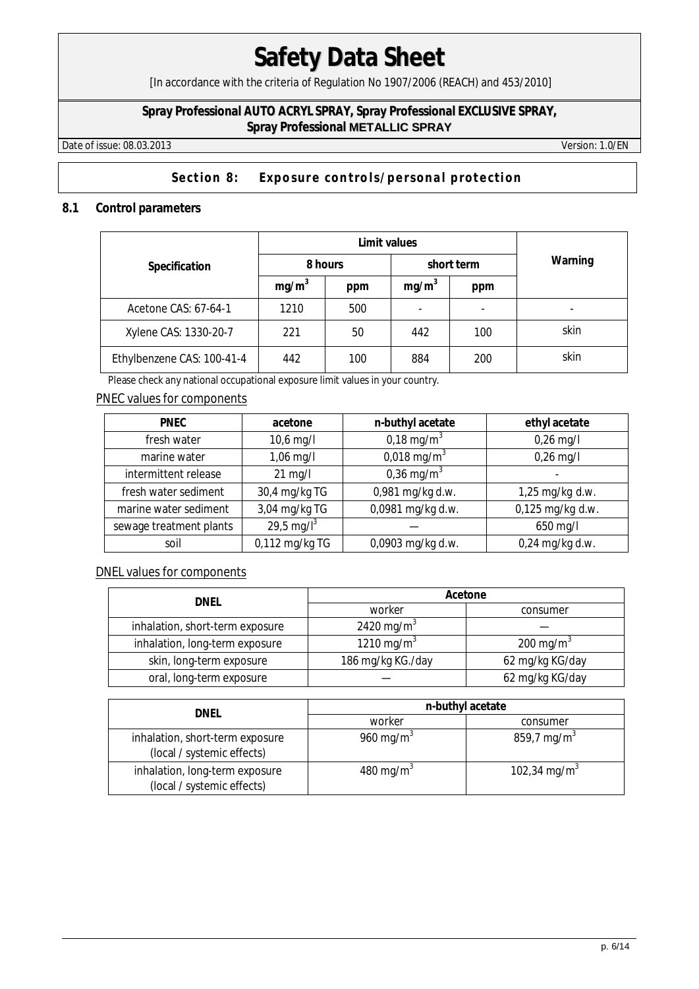[In accordance with the criteria of Regulation No 1907/2006 (REACH) and 453/2010]

## **Spray Professional AUTO ACRYL SPRAY, Spray Professional EXCLUSIVE SPRAY, Spray Professional METALLIC SPRAY**

Date of issue: 08.03.2013 Version: 1.0/EN

# Section 8: Exposure controls/personal protection

## **8.1 Control parameters**

|                            |                   | Limit values | Warning           |            |      |
|----------------------------|-------------------|--------------|-------------------|------------|------|
| Specification              | 8 hours           |              |                   | short term |      |
|                            | mg/m <sup>3</sup> | ppm          | mg/m <sup>3</sup> | ppm        |      |
| Acetone CAS: 67-64-1       | 1210              | 500          | -                 |            |      |
| Xylene CAS: 1330-20-7      | 221               | 50           | 442               | 100        | skin |
| Ethylbenzene CAS: 100-41-4 | 442               | 100          | 884               | 200        | skin |

Please check any national occupational exposure limit values in your country.

## PNEC values for components

| <b>PNEC</b>             | acetone        | n-buthyl acetate          | ethyl acetate    |
|-------------------------|----------------|---------------------------|------------------|
| fresh water             | 10,6 mg/l      | 0,18 mg/m <sup>3</sup>    | $0,26$ mg/l      |
| marine water            | 1,06 mg/l      | $0,018 \,\mathrm{mg/m^3}$ | $0,26$ mg/l      |
| intermittent release    | $21$ mg/l      | 0,36 mg/m <sup>3</sup>    |                  |
| fresh water sediment    | 30,4 mg/kg TG  | 0,981 mg/kg d.w.          | 1,25 mg/kg d.w.  |
| marine water sediment   | 3,04 mg/kg TG  | 0,0981 mg/kg d.w.         | 0,125 mg/kg d.w. |
| sewage treatment plants | 29,5 mg/ $I^3$ |                           | 650 mg/l         |
| soil                    | 0,112 mg/kg TG | 0,0903 mg/kg d.w.         | 0,24 mg/kg d.w.  |

### DNEL values for components

| <b>DNFI</b>                     | Acetone                |                       |  |  |
|---------------------------------|------------------------|-----------------------|--|--|
|                                 | worker                 | consumer              |  |  |
| inhalation, short-term exposure | 2420 mg/m <sup>3</sup> |                       |  |  |
| inhalation, long-term exposure  | 1210 mg/m <sup>3</sup> | 200 mg/m <sup>3</sup> |  |  |
| skin, long-term exposure        | 186 mg/kg KG./day      | 62 mg/kg KG/day       |  |  |
| oral, long-term exposure        |                        | 62 mg/kg KG/day       |  |  |

| dnel                                                          | n-buthyl acetate      |                          |  |  |
|---------------------------------------------------------------|-----------------------|--------------------------|--|--|
|                                                               | worker                | consumer                 |  |  |
| inhalation, short-term exposure<br>(local / systemic effects) | 960 mg/m <sup>3</sup> | 859,7 mg/m <sup>3</sup>  |  |  |
| inhalation, long-term exposure<br>(local / systemic effects)  | 480 mg/m <sup>3</sup> | 102,34 mg/m <sup>3</sup> |  |  |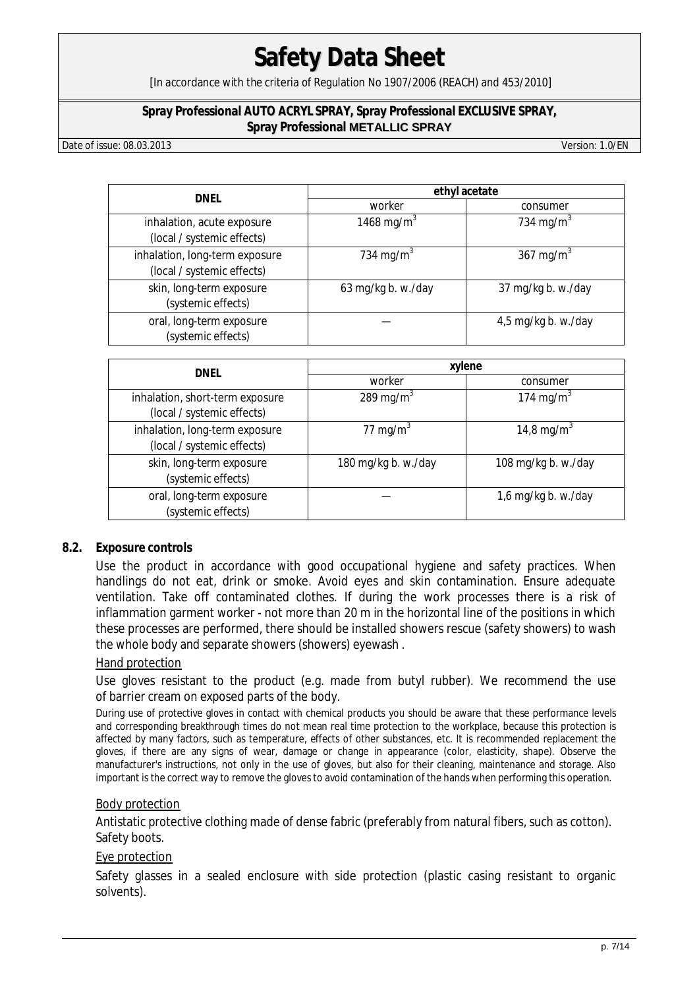[In accordance with the criteria of Regulation No 1907/2006 (REACH) and 453/2010]

#### **Spray Professional AUTO ACRYL SPRAY, Spray Professional EXCLUSIVE SPRAY, Spray Professional METALLIC SPRAY**

Date of issue: 08.03.2013 Version: 1.0/EN

| DNEL                                                         | ethyl acetate          |                       |  |  |
|--------------------------------------------------------------|------------------------|-----------------------|--|--|
|                                                              | worker                 | consumer              |  |  |
| inhalation, acute exposure<br>(local / systemic effects)     | 1468 mg/m <sup>3</sup> | 734 mg/m <sup>3</sup> |  |  |
| inhalation, long-term exposure<br>(local / systemic effects) | 734 mg/m <sup>3</sup>  | 367 mg/m <sup>3</sup> |  |  |
| skin, long-term exposure<br>(systemic effects)               | 63 mg/kg b. w./day     | 37 mg/kg b. w./day    |  |  |
| oral, long-term exposure<br>(systemic effects)               |                        | 4,5 mg/kg b. w./day   |  |  |

| DNEL                                                          | xylene                |                        |  |  |
|---------------------------------------------------------------|-----------------------|------------------------|--|--|
|                                                               | worker                | consumer               |  |  |
| inhalation, short-term exposure<br>(local / systemic effects) | 289 mg/m <sup>3</sup> | 174 mg/m <sup>3</sup>  |  |  |
| inhalation, long-term exposure<br>(local / systemic effects)  | 77 mg/m <sup>3</sup>  | 14,8 mg/m <sup>3</sup> |  |  |
| skin, long-term exposure<br>(systemic effects)                | 180 mg/kg b. w./day   | 108 mg/kg b. w./day    |  |  |
| oral, long-term exposure<br>(systemic effects)                |                       | 1,6 mg/kg b. w./day    |  |  |

### **8.2. Exposure controls**

Use the product in accordance with good occupational hygiene and safety practices. When handlings do not eat, drink or smoke. Avoid eyes and skin contamination. Ensure adequate ventilation. Take off contaminated clothes. If during the work processes there is a risk of inflammation garment worker - not more than 20 m in the horizontal line of the positions in which these processes are performed, there should be installed showers rescue (safety showers) to wash the whole body and separate showers (showers) eyewash .

### Hand protection

Use gloves resistant to the product (e.g. made from butyl rubber). We recommend the use of barrier cream on exposed parts of the body.

During use of protective gloves in contact with chemical products you should be aware that these performance levels and corresponding breakthrough times do not mean real time protection to the workplace, because this protection is affected by many factors, such as temperature, effects of other substances, etc. It is recommended replacement the gloves, if there are any signs of wear, damage or change in appearance (color, elasticity, shape). Observe the manufacturer's instructions, not only in the use of gloves, but also for their cleaning, maintenance and storage. Also important is the correct way to remove the gloves to avoid contamination of the hands when performing this operation.

### Body protection

Antistatic protective clothing made of dense fabric (preferably from natural fibers, such as cotton). Safety boots.

### Eye protection

Safety glasses in a sealed enclosure with side protection (plastic casing resistant to organic solvents).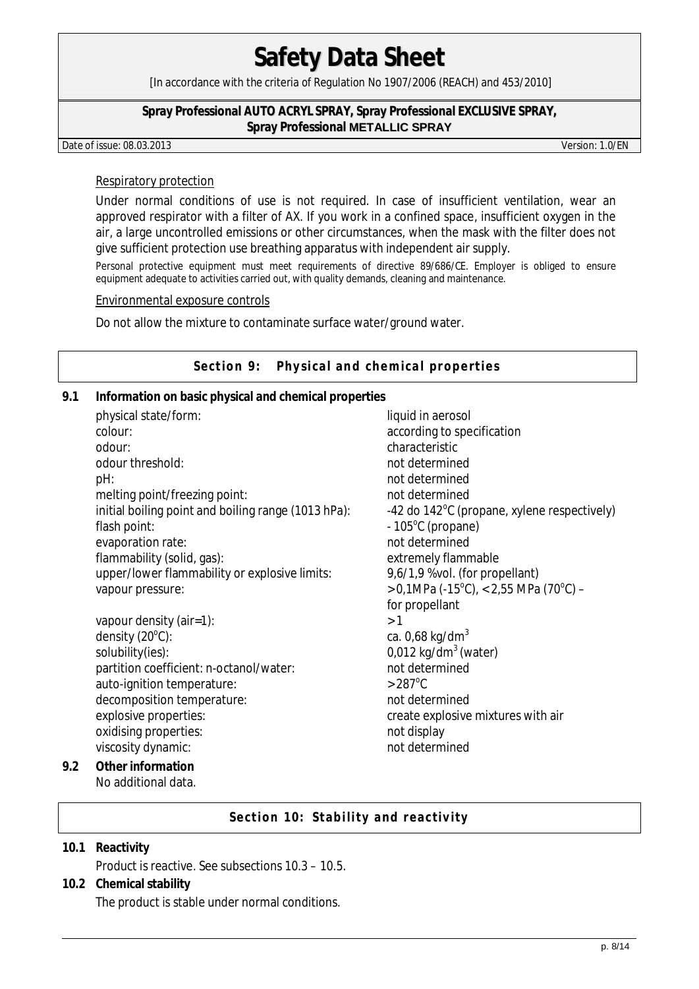[In accordance with the criteria of Regulation No 1907/2006 (REACH) and 453/2010]

#### **Spray Professional AUTO ACRYL SPRAY, Spray Professional EXCLUSIVE SPRAY, Spray Professional METALLIC SPRAY**

Date of issue: 08.03.2013 Version: 1.0/EN

#### Respiratory protection

Under normal conditions of use is not required. In case of insufficient ventilation, wear an approved respirator with a filter of AX. If you work in a confined space, insufficient oxygen in the air, a large uncontrolled emissions or other circumstances, when the mask with the filter does not give sufficient protection use breathing apparatus with independent air supply.

Personal protective equipment must meet requirements of directive 89/686/CE. Employer is obliged to ensure equipment adequate to activities carried out, with quality demands, cleaning and maintenance.

### Environmental exposure controls

Do not allow the mixture to contaminate surface water/ground water.

### Section 9: Physical and chemical properties

**9.1 Information on basic physical and chemical properties** 

|                | physical state/form:                                | liquid in aerosol                                     |
|----------------|-----------------------------------------------------|-------------------------------------------------------|
|                | colour:                                             | according to specification                            |
|                | odour:                                              | characteristic                                        |
|                | odour threshold:                                    | not determined                                        |
|                | pH:                                                 | not determined                                        |
|                | melting point/freezing point:                       | not determined                                        |
|                | initial boiling point and boiling range (1013 hPa): | -42 do $142^{\circ}$ C (propane, xylene respectively) |
|                | flash point:                                        | $-105^{\circ}$ C (propane)                            |
|                | evaporation rate:                                   | not determined                                        |
|                | flammability (solid, gas):                          | extremely flammable                                   |
|                | upper/lower flammability or explosive limits:       | 9,6/1,9 %vol. (for propellant)                        |
|                | vapour pressure:                                    | > 0,1MPa (-15°C), < 2,55 MPa (70°C) -                 |
|                |                                                     | for propellant                                        |
|                | vapour density (air=1):                             | >1                                                    |
|                | density $(20^{\circ}C)$ :                           | ca. $0,68$ kg/dm <sup>3</sup>                         |
|                | solubility(ies):                                    | $0.012$ kg/dm <sup>3</sup> (water)                    |
|                | partition coefficient: n-octanol/water:             | not determined                                        |
|                | auto-ignition temperature:                          | $>287^{\circ}$ C                                      |
|                | decomposition temperature:                          | not determined                                        |
|                | explosive properties:                               | create explosive mixtures with air                    |
|                | oxidising properties:                               | not display                                           |
|                | viscosity dynamic:                                  | not determined                                        |
| $\overline{2}$ | Other information                                   |                                                       |

**9.2 Other information**  No additional data.

## **Section 10: Stability and reactivity**

- **10.1 Reactivity**  Product is reactive. See subsections 10.3 – 10.5.
- **10.2 Chemical stability**  The product is stable under normal conditions.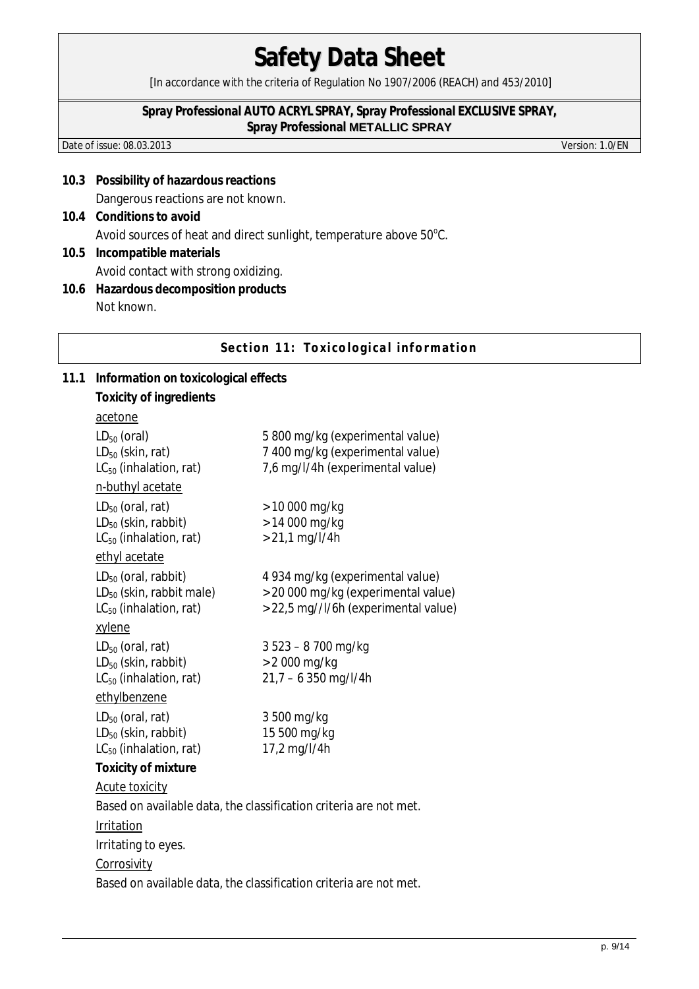[In accordance with the criteria of Regulation No 1907/2006 (REACH) and 453/2010]

#### **Spray Professional AUTO ACRYL SPRAY, Spray Professional EXCLUSIVE SPRAY, Spray Professional METALLIC SPRAY**

Date of issue: 08.03.2013 Version: 1.0/EN

- **10.3 Possibility of hazardous reactions**  Dangerous reactions are not known.
- **10.4 Conditions to avoid**  Avoid sources of heat and direct sunlight, temperature above  $50^{\circ}$ C.
- **10.5 Incompatible materials**  Avoid contact with strong oxidizing.
- **10.6 Hazardous decomposition products**  Not known.

**Section 11: Toxicological information** 

**11.1 Information on toxicological effects Toxicity of ingredients**  acetone LD<sub>50</sub> (oral) 5 800 mg/kg (experimental value) LD<sub>50</sub> (skin, rat) 7 400 mg/kg (experimental value)  $LC_{50}$  (inhalation, rat)  $7.6$  mg/l/4h (experimental value) n-buthyl acetate  $LD_{50}$  (oral, rat)  $> 10000$  mg/kg  $LD_{50}$  (skin, rabbit)  $\rightarrow$  14 000 mg/kg  $LC_{50}$  (inhalation, rat)  $> 21.1$  mg/l/4h ethyl acetate LD50 (oral, rabbit) 4 934 mg/kg (experimental value)  $LD_{50}$  (skin, rabbit male)  $> 20000$  mg/kg (experimental value)  $LC_{50}$  (inhalation, rat)  $> 22.5$  mg//l/6h (experimental value) xylene  $LD_{50}$  (oral, rat) 3 523 – 8 700 mg/kg  $LD_{50}$  (skin, rabbit)  $> 2000$  mg/kg  $LC_{50}$  (inhalation, rat) 21,7 – 6 350 mg/l/4h ethylbenzene  $LD_{50}$  (oral, rat) 3 500 mg/kg  $LD_{50}$  (skin, rabbit) 15 500 mg/kg  $LC_{50}$  (inhalation, rat) 17,2 mg/l/4h **Toxicity of mixture**  Acute toxicity Based on available data, the classification criteria are not met. Irritation Irritating to eyes. **Corrosivity** Based on available data, the classification criteria are not met.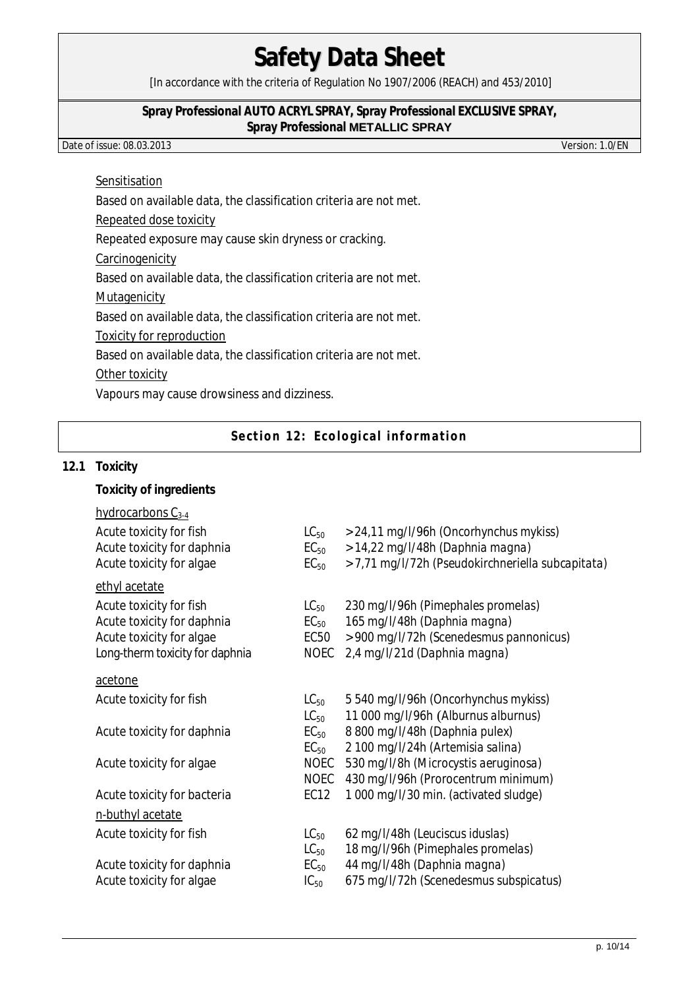[In accordance with the criteria of Regulation No 1907/2006 (REACH) and 453/2010]

### **Spray Professional AUTO ACRYL SPRAY, Spray Professional EXCLUSIVE SPRAY, Spray Professional METALLIC SPRAY**

Date of issue: 08.03.2013 Version: 1.0/EN

## Sensitisation

Based on available data, the classification criteria are not met.

Repeated dose toxicity

Repeated exposure may cause skin dryness or cracking.

**Carcinogenicity** 

Based on available data, the classification criteria are not met.

Mutagenicity

Based on available data, the classification criteria are not met.

Toxicity for reproduction

Based on available data, the classification criteria are not met.

Other toxicity

Vapours may cause drowsiness and dizziness.

**Section 12: Ecological information** 

### **12.1 Toxicity**

**Toxicity of ingredients** 

| hydrocarbons $C_{3-4}$          |             |                                                   |
|---------------------------------|-------------|---------------------------------------------------|
| Acute toxicity for fish         | $LC_{50}$   | > 24,11 mg/l/96h (Oncorhynchus mykiss)            |
| Acute toxicity for daphnia      | $EC_{50}$   | > 14,22 mg/l/48h (Daphnia magna)                  |
| Acute toxicity for algae        | $EC_{50}$   | > 7,71 mg/l/72h (Pseudokirchneriella subcapitata) |
| ethyl acetate                   |             |                                                   |
| Acute toxicity for fish         | $LC_{50}$   | 230 mg/l/96h (Pimephales promelas)                |
| Acute toxicity for daphnia      | $EC_{50}$   | 165 mg/l/48h (Daphnia magna)                      |
| Acute toxicity for algae        | EC50        | > 900 mg/l/72h (Scenedesmus pannonicus)           |
| Long-therm toxicity for daphnia | <b>NOEC</b> | 2,4 mg/l/21d (Daphnia magna)                      |
| acetone                         |             |                                                   |
| Acute toxicity for fish         | $LC_{50}$   | 5 540 mg/l/96h (Oncorhynchus mykiss)              |
|                                 | $LC_{50}$   | 11 000 mg/l/96h (Alburnus alburnus)               |
| Acute toxicity for daphnia      | $EC_{50}$   | 8 800 mg/l/48h (Daphnia pulex)                    |
|                                 | $EC_{50}$   | 2 100 mg/l/24h (Artemisia salina)                 |
| Acute toxicity for algae        | NOEC        | 530 mg/l/8h (Microcystis aeruginosa)              |
|                                 | <b>NOEC</b> | 430 mg/l/96h (Prorocentrum minimum)               |
| Acute toxicity for bacteria     | EC12        | 1 000 mg/l/30 min. (activated sludge)             |
| n-buthyl acetate                |             |                                                   |
| Acute toxicity for fish         | $LC_{50}$   | 62 mg/l/48h (Leuciscus iduslas)                   |
|                                 | $LC_{50}$   | 18 mg/l/96h (Pimephales promelas)                 |
| Acute toxicity for daphnia      | $EC_{50}$   | 44 mg/l/48h (Daphnia magna)                       |
| Acute toxicity for algae        | $IC_{50}$   | 675 mg/l/72h (Scenedesmus subspicatus)            |
|                                 |             |                                                   |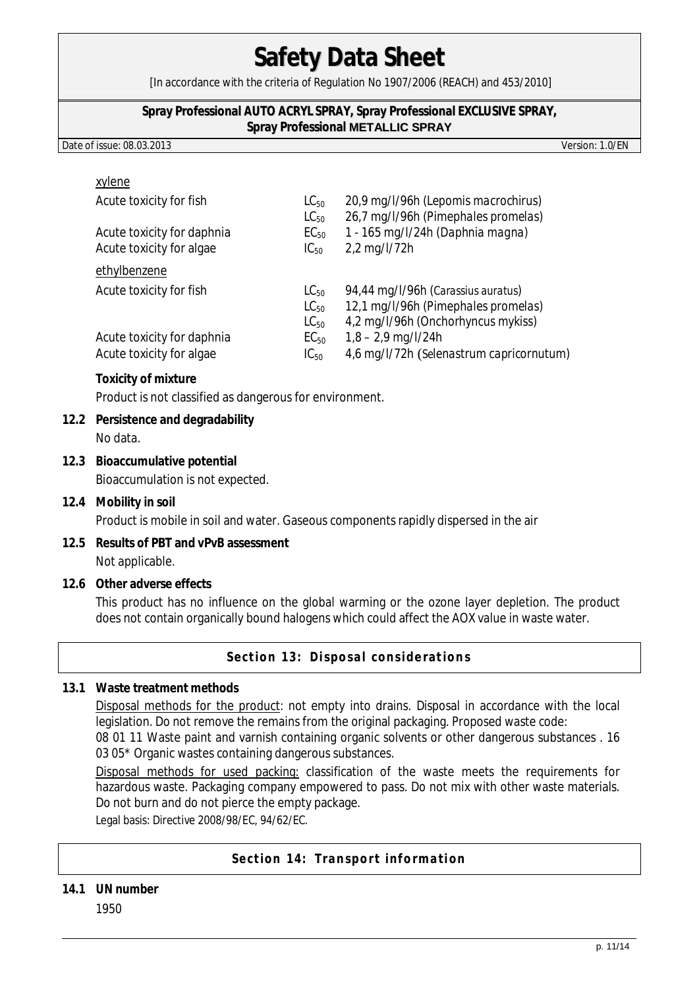[In accordance with the criteria of Regulation No 1907/2006 (REACH) and 453/2010]

#### **Spray Professional AUTO ACRYL SPRAY, Spray Professional EXCLUSIVE SPRAY, Spray Professional METALLIC SPRAY**

Date of issue: 08.03.2013 Version: 1.0/EN

| xylene                     |                        |                                                                            |
|----------------------------|------------------------|----------------------------------------------------------------------------|
| Acute toxicity for fish    | $LC_{50}$<br>$LC_{50}$ | 20,9 mg/l/96h (Lepomis macrochirus)<br>26,7 mg/l/96h (Pimephales promelas) |
| Acute toxicity for daphnia | $EC_{50}$              | 1 - 165 mg/l/24h (Daphnia magna)                                           |
| Acute toxicity for algae   | $IC_{50}$              | 2,2 mg/l/72h                                                               |
| ethylbenzene               |                        |                                                                            |
| Acute toxicity for fish    | $LC_{50}$              | 94,44 mg/l/96h (Carassius auratus)                                         |
|                            | $LC_{50}$              | 12,1 mg/l/96h (Pimephales promelas)                                        |
|                            | $LC_{50}$              | 4,2 mg/l/96h (Onchorhyncus mykiss)                                         |
| Acute toxicity for daphnia | $EC_{50}$              | $1,8 - 2,9$ mg/l/24h                                                       |
| Acute toxicity for algae   | $IC_{50}$              | 4,6 mg/l/72h (Selenastrum capricornutum)                                   |
|                            |                        |                                                                            |

**Toxicity of mixture** 

Product is not classified as dangerous for environment.

- **12.2 Persistence and degradability**  No data.
- **12.3 Bioaccumulative potential**  Bioaccumulation is not expected.
- **12.4 Mobility in soil**  Product is mobile in soil and water. Gaseous components rapidly dispersed in the air
- **12.5 Results of PBT and vPvB assessment**  Not applicable.
- **12.6 Other adverse effects**

This product has no influence on the global warming or the ozone layer depletion. The product does not contain organically bound halogens which could affect the AOX value in waste water.

**Section 13: Disposal considerations** 

# **13.1 Waste treatment methods**

Disposal methods for the product: not empty into drains. Disposal in accordance with the local legislation. Do not remove the remains from the original packaging. Proposed waste code:

08 01 11 Waste paint and varnish containing organic solvents or other dangerous substances . 16 03 05\* Organic wastes containing dangerous substances.

Disposal methods for used packing: classification of the waste meets the requirements for hazardous waste. Packaging company empowered to pass. Do not mix with other waste materials. Do not burn and do not pierce the empty package.

Legal basis: Directive 2008/98/EC, 94/62/EC.

## **Section 14: Transport information**

**14.1 UN number** 1950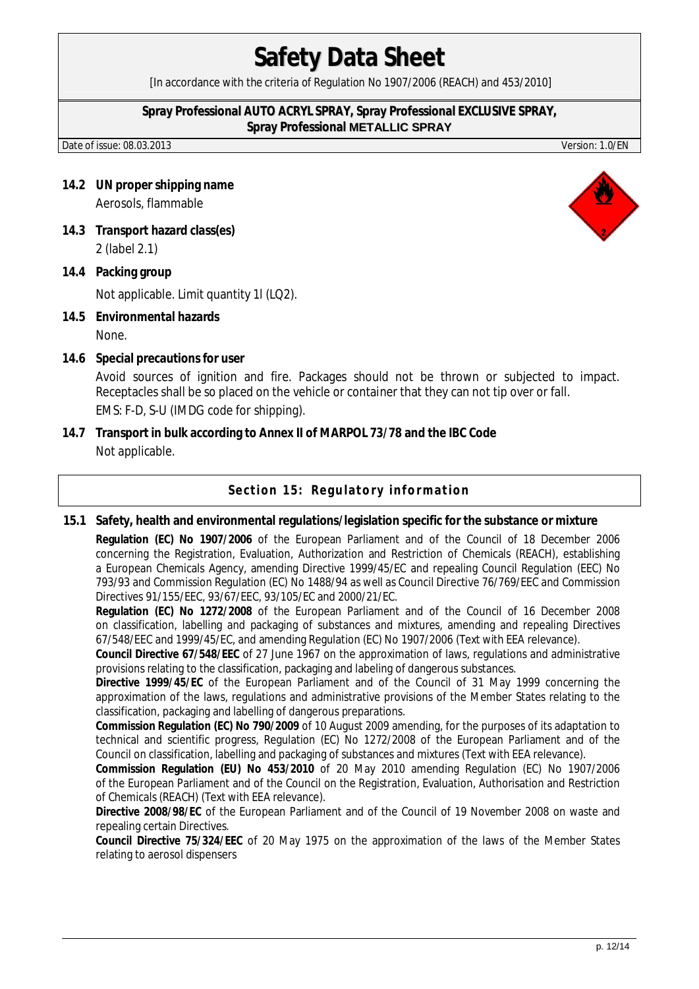[In accordance with the criteria of Regulation No 1907/2006 (REACH) and 453/2010]

#### **Spray Professional AUTO ACRYL SPRAY, Spray Professional EXCLUSIVE SPRAY, Spray Professional METALLIC SPRAY**

Date of issue: 08.03.2013 Version: 1.0/EN

- **14.2 UN proper shipping name**  Aerosols, flammable
- **14.3 Transport hazard class(es)**  2 (label 2.1)
- **14.4 Packing group**  Not applicable. Limit quantity 1l (LQ2).
- **14.5 Environmental hazards**  None.
- **14.6 Special precautions for user**  Avoid sources of ignition and fire. Packages should not be thrown or subjected to impact. Receptacles shall be so placed on the vehicle or container that they can not tip over or fall. EMS: F-D, S-U (IMDG code for shipping).
- **14.7 Transport in bulk according to Annex II of MARPOL 73/78 and the IBC Code**  Not applicable.

## **Section 15: Regulatory information**

**15.1 Safety, health and environmental regulations/legislation specific for the substance or mixture** 

**Regulation (EC) No 1907/2006** of the European Parliament and of the Council of 18 December 2006 concerning the Registration, Evaluation, Authorization and Restriction of Chemicals (REACH), establishing a European Chemicals Agency, amending Directive 1999/45/EC and repealing Council Regulation (EEC) No 793/93 and Commission Regulation (EC) No 1488/94 as well as Council Directive 76/769/EEC and Commission Directives 91/155/EEC, 93/67/EEC, 93/105/EC and 2000/21/EC.

**Regulation (EC) No 1272/2008** of the European Parliament and of the Council of 16 December 2008 on classification, labelling and packaging of substances and mixtures, amending and repealing Directives 67/548/EEC and 1999/45/EC, and amending Regulation (EC) No 1907/2006 (Text with EEA relevance).

**Council Directive 67/548/EEC** of 27 June 1967 on the approximation of laws, regulations and administrative provisions relating to the classification, packaging and labeling of dangerous substances.

**Directive 1999/45/EC** of the European Parliament and of the Council of 31 May 1999 concerning the approximation of the laws, regulations and administrative provisions of the Member States relating to the classification, packaging and labelling of dangerous preparations.

**Commission Regulation (EC) No 790/2009** of 10 August 2009 amending, for the purposes of its adaptation to technical and scientific progress, Regulation (EC) No 1272/2008 of the European Parliament and of the Council on classification, labelling and packaging of substances and mixtures (Text with EEA relevance).

**Commission Regulation (EU) No 453/2010** of 20 May 2010 amending Regulation (EC) No 1907/2006 of the European Parliament and of the Council on the Registration, Evaluation, Authorisation and Restriction of Chemicals (REACH) (Text with EEA relevance).

**Directive 2008/98/EC** of the European Parliament and of the Council of 19 November 2008 on waste and repealing certain Directives.

**Council Directive 75/324/EEC** of 20 May 1975 on the approximation of the laws of the Member States relating to aerosol dispensers

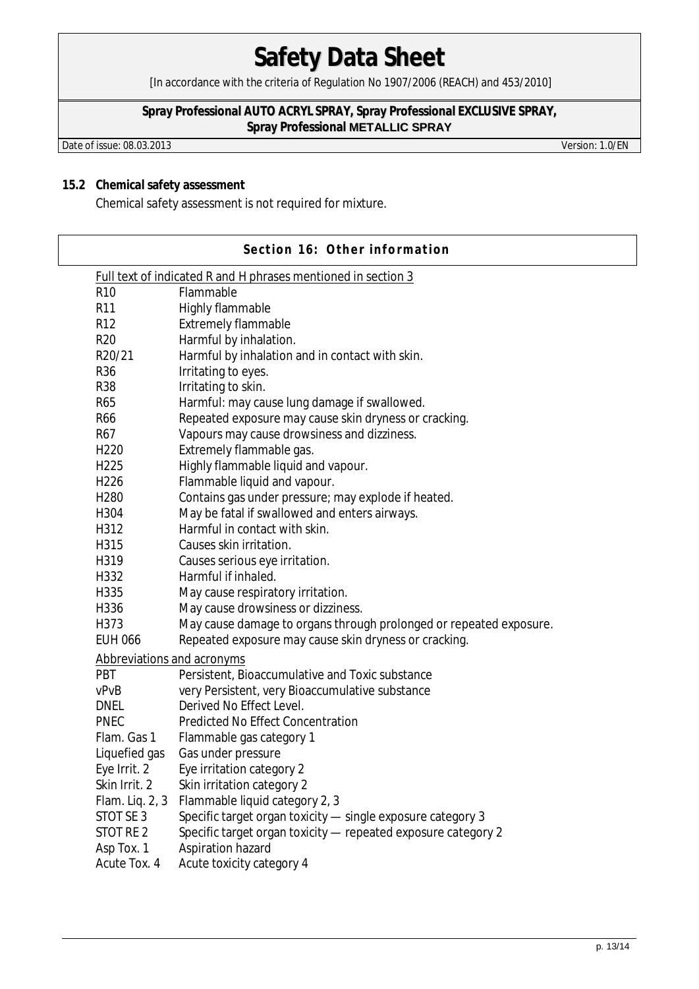[In accordance with the criteria of Regulation No 1907/2006 (REACH) and 453/2010]

## **Spray Professional AUTO ACRYL SPRAY, Spray Professional EXCLUSIVE SPRAY, Spray Professional METALLIC SPRAY**

Date of issue: 08.03.2013 Version: 1.0/EN

### **15.2 Chemical safety assessment**

Chemical safety assessment is not required for mixture.

|                                   | Section 16: Other information                                 |                                                                    |  |  |  |  |
|-----------------------------------|---------------------------------------------------------------|--------------------------------------------------------------------|--|--|--|--|
|                                   | Full text of indicated R and H phrases mentioned in section 3 |                                                                    |  |  |  |  |
|                                   | R <sub>10</sub>                                               | Flammable                                                          |  |  |  |  |
|                                   | R <sub>11</sub>                                               | Highly flammable                                                   |  |  |  |  |
|                                   | R <sub>12</sub>                                               | <b>Extremely flammable</b>                                         |  |  |  |  |
|                                   | <b>R20</b>                                                    | Harmful by inhalation.                                             |  |  |  |  |
|                                   | R20/21                                                        | Harmful by inhalation and in contact with skin.                    |  |  |  |  |
|                                   | R36                                                           | Irritating to eyes.                                                |  |  |  |  |
|                                   | <b>R38</b>                                                    | Irritating to skin.                                                |  |  |  |  |
|                                   | R65                                                           | Harmful: may cause lung damage if swallowed.                       |  |  |  |  |
|                                   | <b>R66</b>                                                    | Repeated exposure may cause skin dryness or cracking.              |  |  |  |  |
|                                   | R67                                                           | Vapours may cause drowsiness and dizziness.                        |  |  |  |  |
|                                   | H <sub>220</sub>                                              | Extremely flammable gas.                                           |  |  |  |  |
|                                   | H <sub>225</sub>                                              | Highly flammable liquid and vapour.                                |  |  |  |  |
|                                   | H226                                                          | Flammable liquid and vapour.                                       |  |  |  |  |
|                                   | H <sub>280</sub>                                              | Contains gas under pressure; may explode if heated.                |  |  |  |  |
|                                   | H304                                                          | May be fatal if swallowed and enters airways.                      |  |  |  |  |
|                                   | H312                                                          | Harmful in contact with skin.                                      |  |  |  |  |
|                                   | H315                                                          | Causes skin irritation.                                            |  |  |  |  |
|                                   | H319                                                          | Causes serious eye irritation.                                     |  |  |  |  |
|                                   | H332                                                          | Harmful if inhaled.                                                |  |  |  |  |
|                                   | H335                                                          | May cause respiratory irritation.                                  |  |  |  |  |
|                                   | H336                                                          | May cause drowsiness or dizziness.                                 |  |  |  |  |
|                                   | H373                                                          | May cause damage to organs through prolonged or repeated exposure. |  |  |  |  |
|                                   | <b>EUH 066</b>                                                | Repeated exposure may cause skin dryness or cracking.              |  |  |  |  |
| <b>Abbreviations and acronyms</b> |                                                               |                                                                    |  |  |  |  |
|                                   | <b>PBT</b>                                                    | Persistent, Bioaccumulative and Toxic substance                    |  |  |  |  |
|                                   | vPvB                                                          | very Persistent, very Bioaccumulative substance                    |  |  |  |  |
|                                   | <b>DNEL</b>                                                   | Derived No Effect Level.                                           |  |  |  |  |
|                                   | <b>PNEC</b>                                                   | <b>Predicted No Effect Concentration</b>                           |  |  |  |  |
|                                   | Flam. Gas 1                                                   | Flammable gas category 1                                           |  |  |  |  |
|                                   | Liquefied gas                                                 | Gas under pressure                                                 |  |  |  |  |
|                                   | Eye Irrit. 2                                                  | Eye irritation category 2                                          |  |  |  |  |
|                                   | Skin Irrit. 2                                                 | Skin irritation category 2                                         |  |  |  |  |
|                                   | Flam. Liq. 2, 3                                               | Flammable liquid category 2, 3                                     |  |  |  |  |
|                                   | STOT SE 3                                                     | Specific target organ toxicity - single exposure category 3        |  |  |  |  |
|                                   | STOT RE 2                                                     | Specific target organ toxicity - repeated exposure category 2      |  |  |  |  |
|                                   | Asp Tox. 1                                                    | Aspiration hazard                                                  |  |  |  |  |
|                                   | Acute Tox. 4                                                  | Acute toxicity category 4                                          |  |  |  |  |